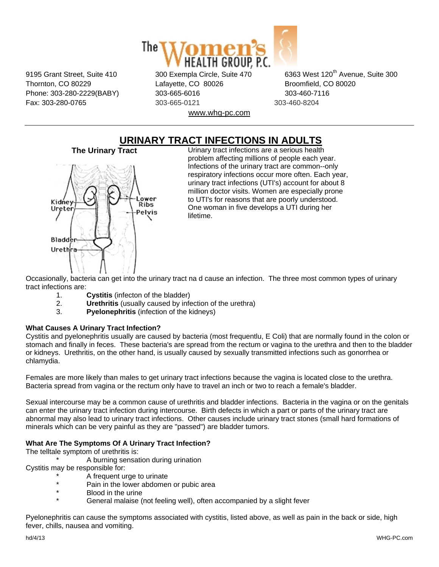

Thornton, CO 80229 Lafayette, CO 80026 Broomfield, CO 80020 Phone: 303-280-2229(BABY) 303-665-6016 303-800-7116 Fax: 303-280-0765 303-665-0121 303-460-8204 www.whg-pc.com

9195 Grant Street, Suite 410 300 Exempla Circle, Suite 470 6363 West 120<sup>th</sup> Avenue, Suite 300

# **URINARY TRACT INFECTIONS IN ADULTS**<br>Urinary tract infections are a serious health<br>Urinary tract infections are a serious health



Urinary tract infections are a serious health problem affecting millions of people each year. Infections of the urinary tract are common--only respiratory infections occur more often. Each year, urinary tract infections (UTI's) account for about 8 million doctor visits. Women are especially prone to UTI's for reasons that are poorly understood. One woman in five develops a UTI during her lifetime.

Occasionally, bacteria can get into the urinary tract na d cause an infection. The three most common types of urinary tract infections are:

- 1. **Cystitis** (infecton of the bladder)
- 2. **Urethritis** (usually caused by infection of the urethra)
- 3. **Pyelonephritis** (infection of the kidneys)

# **What Causes A Urinary Tract Infection?**

Cystitis and pyelonephritis usually are caused by bacteria (most frequentlu, E Coli) that are normally found in the colon or stomach and finally in feces. These bacteria's are spread from the rectum or vagina to the urethra and then to the bladder or kidneys. Urethritis, on the other hand, is usually caused by sexually transmitted infections such as gonorrhea or chlamydia.

Females are more likely than males to get urinary tract infections because the vagina is located close to the urethra. Bacteria spread from vagina or the rectum only have to travel an inch or two to reach a female's bladder.

Sexual intercourse may be a common cause of urethritis and bladder infections. Bacteria in the vagina or on the genitals can enter the urinary tract infection during intercourse. Birth defects in which a part or parts of the urinary tract are abnormal may also lead to urinary tract infections. Other causes include urinary tract stones (small hard formations of minerals which can be very painful as they are "passed") are bladder tumors.

# **What Are The Symptoms Of A Urinary Tract Infection?**

The telltale symptom of urethritis is:

A burning sensation during urination

Cystitis may be responsible for:

- A frequent urge to urinate
- \* Pain in the lower abdomen or pubic area
- Blood in the urine
- General malaise (not feeling well), often accompanied by a slight fever

Pyelonephritis can cause the symptoms associated with cystitis, listed above, as well as pain in the back or side, high fever, chills, nausea and vomiting.